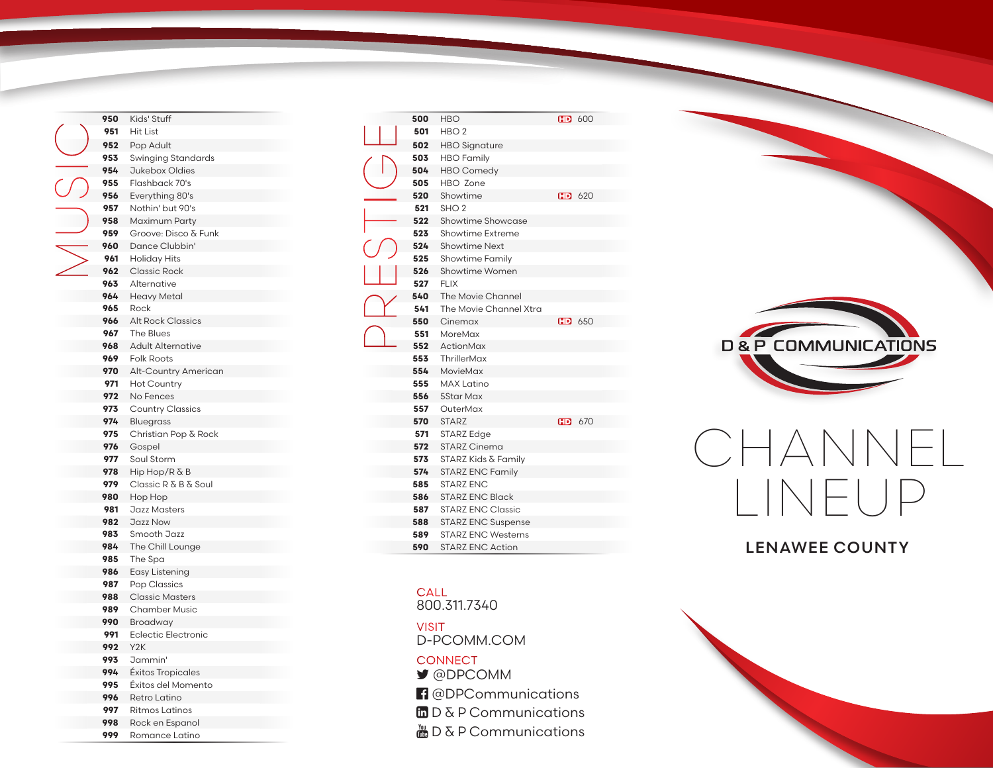| 950 | Kids' Stuff                |
|-----|----------------------------|
| 951 | Hit List                   |
| 952 | Pop Adult                  |
| 953 | Swinging Standards         |
| 954 | Jukebox Oldies             |
| 955 | Flashback 70's             |
| 956 | Everything 80's            |
| 957 | Nothin' but 90's           |
| 958 | Maximum Party              |
| 959 | Groove: Disco & Funk       |
| 960 | Dance Clubbin'             |
| 961 | <b>Holiday Hits</b>        |
| 962 | <b>Classic Rock</b>        |
| 963 | Alternative                |
| 964 | Heavy Metal                |
| 965 | Rock                       |
| 966 | <b>Alt Rock Classics</b>   |
| 967 | <b>The Blues</b>           |
| 968 | <b>Adult Alternative</b>   |
| 969 | <b>Folk Roots</b>          |
| 970 | Alt-Country American       |
| 971 | <b>Hot Country</b>         |
| 972 | No Fences                  |
| 973 | <b>Country Classics</b>    |
| 974 | <b>Bluegrass</b>           |
| 975 | Christian Pop & Rock       |
| 976 | Gospel                     |
| 977 | Soul Storm                 |
| 978 | Hip Hop/R & B              |
| 979 | Classic R & B & Soul       |
| 980 | Hop Hop                    |
| 981 | Jazz Masters               |
| 982 | Jazz Now                   |
| 983 | Smooth Jazz                |
| 984 | The Chill Lounge           |
| 985 | The Spa                    |
| 986 | Easy Listening             |
| 987 | Pop Classics               |
| 988 | <b>Classic Masters</b>     |
| 989 | <b>Chamber Music</b>       |
| 990 | Broadway                   |
| 991 | <b>Eclectic Electronic</b> |
| 992 | Y <sub>2</sub> K           |
| 993 | Jammin'                    |
| 994 | Éxitos Tropicales          |
| 995 | Éxitos del Momento         |
| 996 | Retro Latino               |
| 997 | <b>Ritmos Latinos</b>      |

 Rock en Espanol Romance Latino

| 500 | <b>HBO</b>                |    | FD 600             |
|-----|---------------------------|----|--------------------|
| 501 | HBO <sub>2</sub>          |    |                    |
| 502 | <b>HBO</b> Signature      |    |                    |
| 503 | <b>HBO</b> Family         |    |                    |
| 504 | <b>HBO</b> Comedy         |    |                    |
| 505 | HBO Zone                  |    |                    |
| 520 | Showtime                  |    | F <sub>0</sub> 620 |
| 521 | SHO <sub>2</sub>          |    |                    |
| 522 | Showtime Showcase         |    |                    |
| 523 | Showtime Extreme          |    |                    |
| 524 | <b>Showtime Next</b>      |    |                    |
| 525 | <b>Showtime Family</b>    |    |                    |
| 526 | Showtime Women            |    |                    |
| 527 | <b>FLIX</b>               |    |                    |
| 540 | The Movie Channel         |    |                    |
| 541 | The Movie Channel Xtra    |    |                    |
| 550 | Cinemax                   |    | $F0$ 650           |
| 551 | MoreMax                   |    |                    |
| 552 | ActionMax                 |    |                    |
| 553 | ThrillerMax               |    |                    |
| 554 | MovieMax                  |    |                    |
| 555 | <b>MAX Latino</b>         |    |                    |
| 556 | <b>5Star Max</b>          |    |                    |
| 557 | OuterMax                  |    |                    |
| 570 | <b>STARZ</b>              | HD | 670                |
| 571 | <b>STARZ Edge</b>         |    |                    |
| 572 | <b>STARZ Cinema</b>       |    |                    |
| 573 | STARZ Kids & Family       |    |                    |
| 574 | <b>STARZ ENC Family</b>   |    |                    |
| 585 | <b>STARZ ENC</b>          |    |                    |
| 586 | <b>STARZ ENC Black</b>    |    |                    |
| 587 | <b>STARZ ENC Classic</b>  |    |                    |
| 588 | <b>STARZ ENC Suspense</b> |    |                    |
| 589 | <b>STARZ ENC Westerns</b> |    |                    |
| 590 | <b>STARZ ENC Action</b>   |    |                    |

## **CALL**

800.311.7340

D-PCOMM.COM VISIT **CONNECT** 

- @DPCOMM
- **f** @DPCommunications
- $\ln D \& P$  Communications
- $\frac{M}{200}$  D & P Communications



## CHANNEL LINEUP

## LENAWEE COUNTY